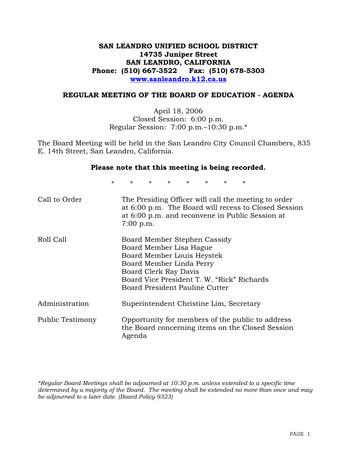# **SAN LEANDRO UNIFIED SCHOOL DISTRICT 14735 Juniper Street SAN LEANDRO, CALIFORNIA Phone: (510) 667-3522 Fax: (510) 678-5303 www.sanleandro.k12.ca.us**

### **REGULAR MEETING OF THE BOARD OF EDUCATION - AGENDA**

April 18, 2006 Closed Session: 6:00 p.m. Regular Session: 7:00 p.m.–10:30 p.m.\*

The Board Meeting will be held in the San Leandro City Council Chambers, 835 E. 14th Street, San Leandro, California.

#### **Please note that this meeting is being recorded.**

\* \* \* \* \* \* \* \*

| Call to Order           | The Presiding Officer will call the meeting to order<br>at 6:00 p.m. The Board will recess to Closed Session<br>at 6:00 p.m. and reconvene in Public Session at<br>$7:00$ p.m.                                             |
|-------------------------|----------------------------------------------------------------------------------------------------------------------------------------------------------------------------------------------------------------------------|
| Roll Call               | Board Member Stephen Cassidy<br>Board Member Lisa Hague<br>Board Member Louis Heystek<br>Board Member Linda Perry<br>Board Clerk Ray Davis<br>Board Vice President T. W. "Rick" Richards<br>Board President Pauline Cutter |
| Administration          | Superintendent Christine Lim, Secretary                                                                                                                                                                                    |
| <b>Public Testimony</b> | Opportunity for members of the public to address<br>the Board concerning items on the Closed Session<br>Agenda                                                                                                             |

*\*Regular Board Meetings shall be adjourned at 10:30 p.m. unless extended to a specific time determined by a majority of the Board. The meeting shall be extended no more than once and may be adjourned to a later date. (Board Policy 9323)*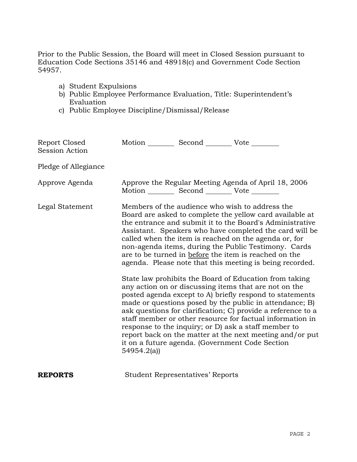Prior to the Public Session, the Board will meet in Closed Session pursuant to Education Code Sections 35146 and 48918(c) and Government Code Section 54957.

- a) Student Expulsions
- b) Public Employee Performance Evaluation, Title: Superintendent's Evaluation
- c) Public Employee Discipline/Dismissal/Release

| Report Closed<br>Session Action | Motion ___________ Second ____________ Vote _________                                                                                                                                                                                                                                                                                                                                                                                                                                                                                                                                                                                                                                                                                                                                                                                                                                                                                                                                                                                |
|---------------------------------|--------------------------------------------------------------------------------------------------------------------------------------------------------------------------------------------------------------------------------------------------------------------------------------------------------------------------------------------------------------------------------------------------------------------------------------------------------------------------------------------------------------------------------------------------------------------------------------------------------------------------------------------------------------------------------------------------------------------------------------------------------------------------------------------------------------------------------------------------------------------------------------------------------------------------------------------------------------------------------------------------------------------------------------|
| Pledge of Allegiance            |                                                                                                                                                                                                                                                                                                                                                                                                                                                                                                                                                                                                                                                                                                                                                                                                                                                                                                                                                                                                                                      |
| Approve Agenda                  | Approve the Regular Meeting Agenda of April 18, 2006<br>Motion __________ Second __________ Vote ________                                                                                                                                                                                                                                                                                                                                                                                                                                                                                                                                                                                                                                                                                                                                                                                                                                                                                                                            |
| Legal Statement                 | Members of the audience who wish to address the<br>Board are asked to complete the yellow card available at<br>the entrance and submit it to the Board's Administrative<br>Assistant. Speakers who have completed the card will be<br>called when the item is reached on the agenda or, for<br>non-agenda items, during the Public Testimony. Cards<br>are to be turned in before the item is reached on the<br>agenda. Please note that this meeting is being recorded.<br>State law prohibits the Board of Education from taking<br>any action on or discussing items that are not on the<br>posted agenda except to A) briefly respond to statements<br>made or questions posed by the public in attendance; B)<br>ask questions for clarification; C) provide a reference to a<br>staff member or other resource for factual information in<br>response to the inquiry; or D) ask a staff member to<br>report back on the matter at the next meeting and/or put<br>it on a future agenda. (Government Code Section<br>54954.2(a) |
| <b>REPORTS</b>                  | <b>Student Representatives' Reports</b>                                                                                                                                                                                                                                                                                                                                                                                                                                                                                                                                                                                                                                                                                                                                                                                                                                                                                                                                                                                              |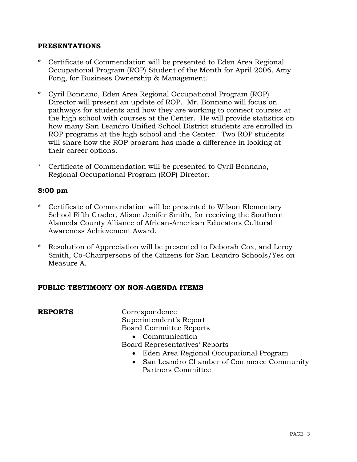## **PRESENTATIONS**

- \* Certificate of Commendation will be presented to Eden Area Regional Occupational Program (ROP) Student of the Month for April 2006, Amy Fong, for Business Ownership & Management.
- \* Cyril Bonnano, Eden Area Regional Occupational Program (ROP) Director will present an update of ROP. Mr. Bonnano will focus on pathways for students and how they are working to connect courses at the high school with courses at the Center. He will provide statistics on how many San Leandro Unified School District students are enrolled in ROP programs at the high school and the Center. Two ROP students will share how the ROP program has made a difference in looking at their career options.
- \* Certificate of Commendation will be presented to Cyril Bonnano, Regional Occupational Program (ROP) Director.

# **8:00 pm**

- \* Certificate of Commendation will be presented to Wilson Elementary School Fifth Grader, Alison Jenifer Smith, for receiving the Southern Alameda County Alliance of African-American Educators Cultural Awareness Achievement Award.
- Resolution of Appreciation will be presented to Deborah Cox, and Leroy Smith, Co-Chairpersons of the Citizens for San Leandro Schools/Yes on Measure A.

## **PUBLIC TESTIMONY ON NON-AGENDA ITEMS**

| <b>REPORTS</b> | Correspondence                                         |
|----------------|--------------------------------------------------------|
|                | Superintendent's Report                                |
|                | <b>Board Committee Reports</b>                         |
|                | Communication                                          |
|                | Board Representatives' Reports                         |
|                | • Eden Area Regional Occupational Program              |
|                | San Leandro Chamber of Commerce Community<br>$\bullet$ |
|                | Partners Committee                                     |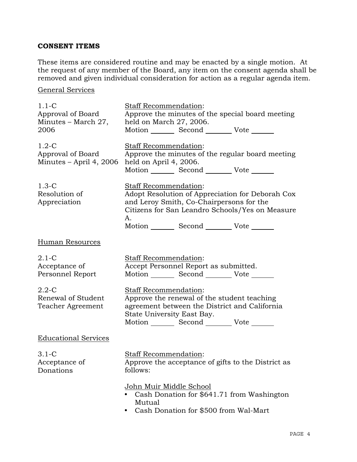# **CONSENT ITEMS**

These items are considered routine and may be enacted by a single motion. At the request of any member of the Board, any item on the consent agenda shall be removed and given individual consideration for action as a regular agenda item.

General Services

| $1.1-C$<br>Approval of Board<br>Minutes - March 27,<br>2006 | Staff Recommendation:<br>Approve the minutes of the special board meeting<br>held on March 27, 2006.<br>Motion _________ Second __________ Vote _______                                                                          |
|-------------------------------------------------------------|----------------------------------------------------------------------------------------------------------------------------------------------------------------------------------------------------------------------------------|
| $1.2-C$<br>Approval of Board<br>Minutes $-$ April 4, 2006   | Staff Recommendation:<br>Approve the minutes of the regular board meeting<br>held on April 4, 2006.<br>Motion _________ Second __________ Vote _______                                                                           |
| $1.3-C$<br>Resolution of<br>Appreciation                    | Staff Recommendation:<br>Adopt Resolution of Appreciation for Deborah Cox<br>and Leroy Smith, Co-Chairpersons for the<br>Citizens for San Leandro Schools/Yes on Measure<br>А.<br>Motion _________ Second _________ Vote _______ |
| <b>Human Resources</b>                                      |                                                                                                                                                                                                                                  |
| $2.1-C$<br>Acceptance of<br>Personnel Report                | Staff Recommendation:<br>Accept Personnel Report as submitted.<br>Motion _________ Second __________ Vote _______                                                                                                                |
| $2.2 - C$<br>Renewal of Student<br>Teacher Agreement        | Staff Recommendation:<br>Approve the renewal of the student teaching<br>agreement between the District and California<br>State University East Bay.<br>Motion _________ Second __________ Vote _______                           |
| <b>Educational Services</b>                                 |                                                                                                                                                                                                                                  |
| $3.1-C$<br>Acceptance of<br>Donations                       | <b>Staff Recommendation:</b><br>Approve the acceptance of gifts to the District as<br>follows:                                                                                                                                   |
|                                                             | <u>John Muir Middle School</u><br>Cash Donation for \$641.71 from Washington<br>Mutual<br>Cash Donation for \$500 from Wal-Mart                                                                                                  |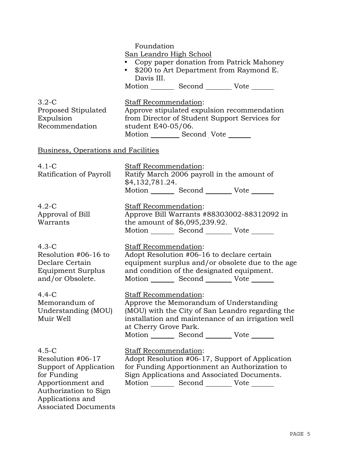|                                                                                                                                                                        | Foundation<br>San Leandro High School<br>Copy paper donation from Patrick Mahoney<br>\$200 to Art Department from Raymond E.<br>$\bullet$<br>Davis III.<br>Motion _________ Second __________ Vote _______                                             |
|------------------------------------------------------------------------------------------------------------------------------------------------------------------------|--------------------------------------------------------------------------------------------------------------------------------------------------------------------------------------------------------------------------------------------------------|
| $3.2-C$<br>Proposed Stipulated<br>Expulsion<br>Recommendation                                                                                                          | Staff Recommendation:<br>Approve stipulated expulsion recommendation<br>from Director of Student Support Services for<br>student E40-05/06.<br>Motion __________ Second Vote _______                                                                   |
| Business, Operations and Facilities                                                                                                                                    |                                                                                                                                                                                                                                                        |
| $4.1-C$<br>Ratification of Payroll                                                                                                                                     | Staff Recommendation:<br>Ratify March 2006 payroll in the amount of<br>\$4,132,781.24.<br>Motion _________ Second __________ Vote _______                                                                                                              |
| $4.2-C$<br>Approval of Bill<br>Warrants                                                                                                                                | Staff Recommendation:<br>Approve Bill Warrants #88303002-88312092 in<br>the amount of \$6,095,239.92.<br>Motion _________ Second __________ Vote _______                                                                                               |
| $4.3-C$<br>Resolution #06-16 to<br>Declare Certain<br>Equipment Surplus<br>and/or Obsolete.                                                                            | Staff Recommendation:<br>Adopt Resolution #06-16 to declare certain<br>equipment surplus and/or obsolete due to the age<br>and condition of the designated equipment.<br>Motion _________ Second __________ Vote _______                               |
| $4.4-C$<br>Memorandum of<br>Understanding (MOU)<br>Muir Well                                                                                                           | Staff Recommendation:<br>Approve the Memorandum of Understanding<br>(MOU) with the City of San Leandro regarding the<br>installation and maintenance of an irrigation well<br>at Cherry Grove Park.<br>Motion _________ Second __________ Vote _______ |
| $4.5-C$<br>Resolution #06-17<br>Support of Application<br>for Funding<br>Apportionment and<br>Authorization to Sign<br>Applications and<br><b>Associated Documents</b> | Staff Recommendation:<br>Adopt Resolution #06-17, Support of Application<br>for Funding Apportionment an Authorization to<br>Sign Applications and Associated Documents.<br>Motion _________ Second __________ Vote _______                            |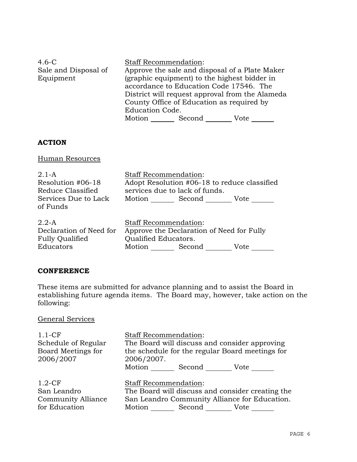| $4.6-C$              | <b>Staff Recommendation:</b>                    |
|----------------------|-------------------------------------------------|
| Sale and Disposal of | Approve the sale and disposal of a Plate Maker  |
| Equipment            | (graphic equipment) to the highest bidder in    |
|                      | accordance to Education Code 17546. The         |
|                      | District will request approval from the Alameda |
|                      | County Office of Education as required by       |
|                      | <b>Education Code.</b>                          |
|                      | Motion<br>Second<br>Vote                        |

## **ACTION**

Human Resources

| $2.1-A$                 | <b>Staff Recommendation:</b>   |                                              |      |
|-------------------------|--------------------------------|----------------------------------------------|------|
| Resolution #06-18       |                                | Adopt Resolution #06-18 to reduce classified |      |
| Reduce Classified       | services due to lack of funds. |                                              |      |
| Services Due to Lack    |                                | Motion Second Vote                           |      |
| of Funds                |                                |                                              |      |
|                         |                                |                                              |      |
| $2.2-A$                 | <b>Staff Recommendation:</b>   |                                              |      |
| Declaration of Need for |                                | Approve the Declaration of Need for Fully    |      |
| <b>Fully Qualified</b>  | Qualified Educators.           |                                              |      |
| Educators               | Motion Second                  |                                              | Vote |

### **CONFERENCE**

These items are submitted for advance planning and to assist the Board in establishing future agenda items. The Board may, however, take action on the following:

# General Services

| $1.1 - CF$<br>Schedule of Regular<br>Board Meetings for<br>2006/2007 | <b>Staff Recommendation:</b><br>The Board will discuss and consider approving<br>the schedule for the regular Board meetings for<br>2006/2007. |
|----------------------------------------------------------------------|------------------------------------------------------------------------------------------------------------------------------------------------|
|                                                                      | Motion _________ Second _________ Vote ____                                                                                                    |
|                                                                      |                                                                                                                                                |
| $1.2-CF$                                                             | <b>Staff Recommendation:</b>                                                                                                                   |
| San Leandro                                                          | The Board will discuss and consider creating the                                                                                               |
| <b>Community Alliance</b>                                            | San Leandro Community Alliance for Education.                                                                                                  |
| for Education                                                        | Motion Second Vote                                                                                                                             |